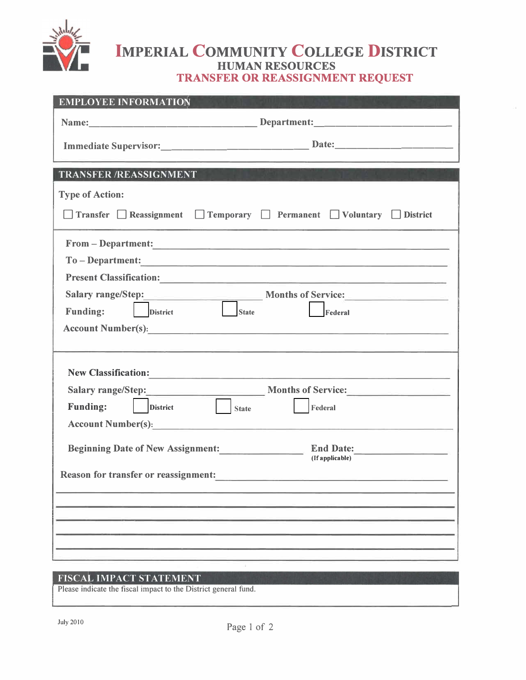

## **IMPERIAL COMMUNITY COLLEGE DISTRICT HUMAN RESOURCES TRANSFER OR REASSIGNMENT REQUEST**

| <b>EMPLOYEE INFORMATION</b>                                              |
|--------------------------------------------------------------------------|
|                                                                          |
|                                                                          |
| <b>TRANSFER /REASSIGNMENT</b>                                            |
| <b>Type of Action:</b>                                                   |
| □ Transfer □ Reassignment □ Temporary □ Permanent □ Voluntary □ District |
| From - Department:                                                       |
| To - Department:                                                         |
|                                                                          |
| Salary range/Step: Months of Service:                                    |
| <b>State</b><br><b>District</b><br>Federal<br><b>Funding:</b>            |
|                                                                          |
|                                                                          |
|                                                                          |
| New Classification:                                                      |
| Salary range/Step: Months of Service:                                    |
| <b>Executive State</b><br><b>Funding:</b><br><b>District</b><br>Federal  |
| Account Number(s):                                                       |
| Beginning Date of New Assignment:<br>End Date:<br>(If applicable)        |
| <b>Reason for transfer or reassignment:</b>                              |
|                                                                          |
|                                                                          |
|                                                                          |
|                                                                          |
|                                                                          |

## FISCAL IMPACT STATEMENT

Please indicate the fiscal impact to the District general fund.